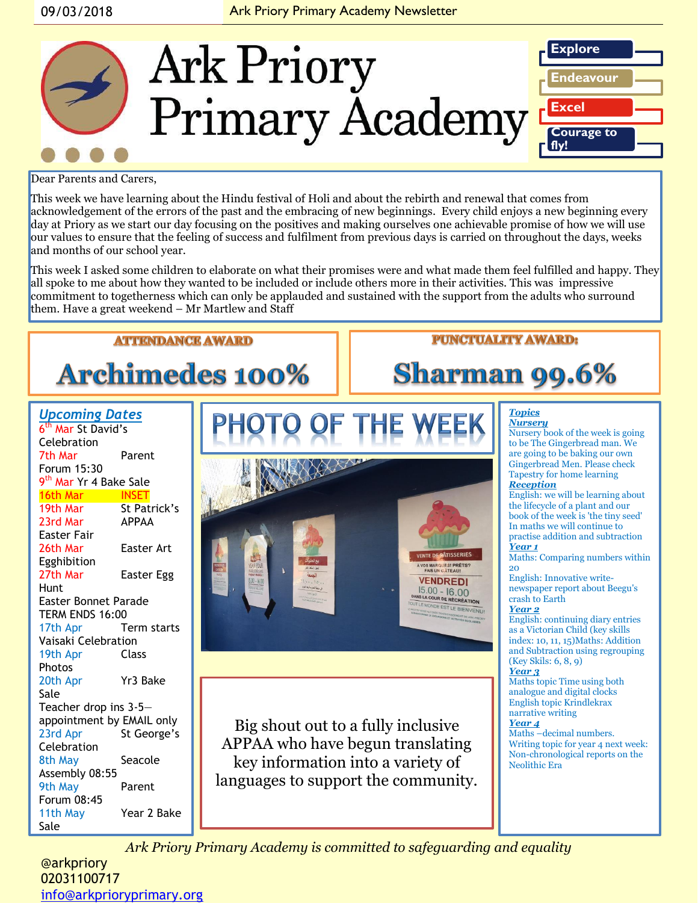

Dear Parents and Carers,

This week we have learning about the Hindu festival of Holi and about the rebirth and renewal that comes from acknowledgement of the errors of the past and the embracing of new beginnings. Every child enjoys a new beginning every day at Priory as we start our day focusing on the positives and making ourselves one achievable promise of how we will use our values to ensure that the feeling of success and fulfilment from previous days is carried on throughout the days, weeks and months of our school year.

This week I asked some children to elaborate on what their promises were and what made them feel fulfilled and happy. They all spoke to me about how they wanted to be included or include others more in their activities. This was impressive commitment to togetherness which can only be applauded and sustained with the support from the adults who surround them. Have a great weekend – Mr Martlew and Staff

# **Archimedes 100%**

**ATTENDANCE AWARD** 

#### **PUNCTUALITY AWARD:**

## **Sharman 99.6%**

*Topics*

#### *Upcoming Dates* 6<sup>th</sup> Mar St David's Celebration 7th Mar Parent Forum 15:30 9<sup>th</sup> Mar Yr 4 Bake Sale 16th Mar INSET 19th Mar St Patrick's 23rd Mar APPAA Easter Fair 26th Mar Easter Art Egghibition 27th Mar Easter Egg Hunt Easter Bonnet Parade TERM ENDS 16:00 17th Apr Term starts Vaisaki Celebration 19th Apr Class Photos 20th Apr Yr3 Bake Sale Teacher drop ins 3-5 appointment by EMAIL only 23rd Apr St George's Celebration 8th May Seacole Assembly 08:55 9th May Parent Forum 08:45 11th May Year 2 Bake Sale



Big shout out to a fully inclusive APPAA who have begun translating key information into a variety of languages to support the community.

*Nursery* Nursery book of the week is going to be The Gingerbread man. We are going to be baking our own Gingerbread Men. Please check Tapestry for home learning

#### *Reception*

English: we will be learning about the lifecycle of a plant and our book of the week is 'the tiny seed' In maths we will continue to practise addition and subtraction *Year 1*

Maths: Comparing numbers within 20

English: Innovative writenewspaper report about Beegu's crash to Earth

#### *Year 2*

English: continuing diary entries as a Victorian Child (key skills index: 10, 11, 15)Maths: Addition and Subtraction using regrouping (Key Skils: 6, 8, 9)

#### *Year 3*

Maths topic Time using both analogue and digital clocks English topic Krindlekrax narrative writing

#### *Year 4*

Maths –decimal numbers. Writing topic for year 4 next week: Non-chronological reports on the Neolithic Era

*Ark Priory Primary Academy is committed to safeguarding and equality* 

**@arkpriory** 02031100717 [info@arkprioryprimary.org](mailto:info@arkprioryprimary.org)  **@arkpriory** Shackleton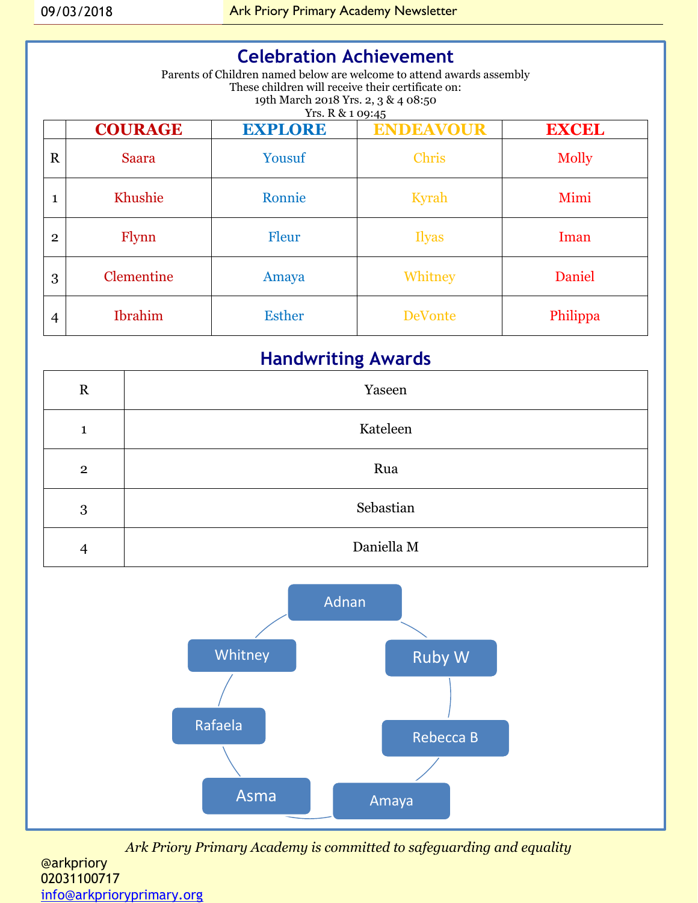### **Celebration Achievement**

Parents of Children named below are welcome to attend awards assembly These children will receive their certificate on: 19th March 2018 Yrs. 2, 3 & 4 08:50 Yrs. R & 1 09:45

|              | <b>COURAGE</b>    | <b>EXPLORE</b> | <b>ENDEAVOUR</b> | <b>EXCEL</b> |
|--------------|-------------------|----------------|------------------|--------------|
| $\mathbf R$  | <b>Saara</b>      | Yousuf         | <b>Chris</b>     | Molly        |
| 1            | Khushie           | Ronnie         | Kyrah            | Mimi         |
| $\mathbf{2}$ | Flynn             | Fleur          | <b>Ilyas</b>     | Iman         |
| 3            | <b>Clementine</b> | Amaya          | Whitney          | Daniel       |
| 4            | <b>Ibrahim</b>    | <b>Esther</b>  | <b>DeVonte</b>   | Philippa     |

### **Handwriting Awards**

| $\mathbf R$    | Yaseen     |  |
|----------------|------------|--|
| 1              | Kateleen   |  |
| $\overline{2}$ | Rua        |  |
| 3              | Sebastian  |  |
| $\overline{4}$ | Daniella M |  |

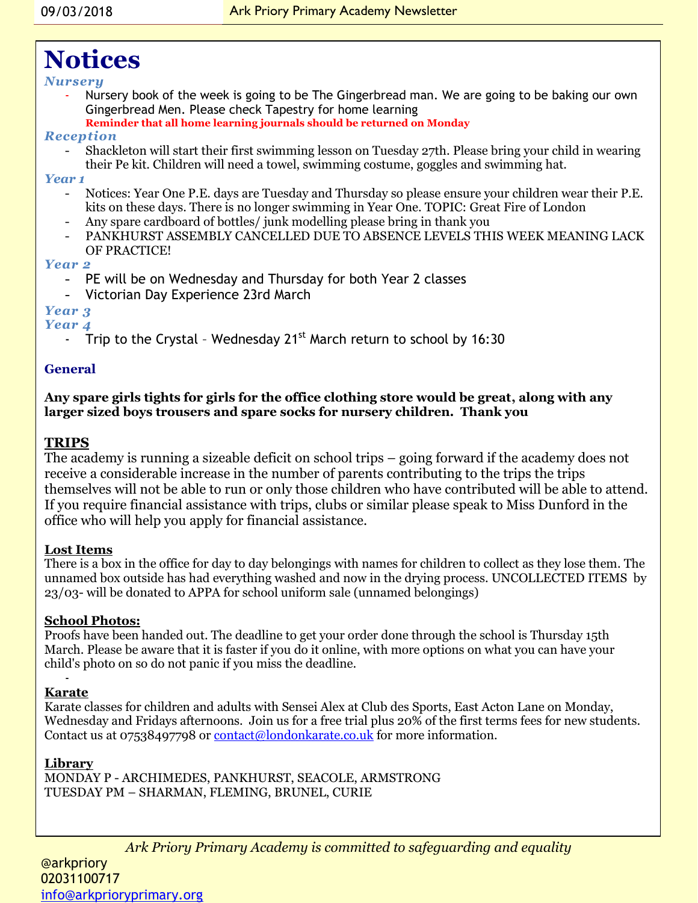### **Notices**

#### *Nursery*

- Nursery book of the week is going to be The Gingerbread man. We are going to be baking our own Gingerbread Men. Please check Tapestry for home learning
	- **Reminder that all home learning journals should be returned on Monday**

#### *Reception*

- Shackleton will start their first swimming lesson on Tuesday 27th. Please bring your child in wearing their Pe kit. Children will need a towel, swimming costume, goggles and swimming hat.

#### *Year 1*

- Notices: Year One P.E. days are Tuesday and Thursday so please ensure your children wear their P.E. kits on these days. There is no longer swimming in Year One. TOPIC: Great Fire of London
- Any spare cardboard of bottles/ junk modelling please bring in thank you
- PANKHURST ASSEMBLY CANCELLED DUE TO ABSENCE LEVELS THIS WEEK MEANING LACK OF PRACTICE!

#### *Year 2*

- PE will be on Wednesday and Thursday for both Year 2 classes
- Victorian Day Experience 23rd March

#### *Year 3*

#### *Year 4*

Trip to the Crystal - Wednesday 21<sup>st</sup> March return to school by 16:30

#### **General**

#### **Any spare girls tights for girls for the office clothing store would be great, along with any larger sized boys trousers and spare socks for nursery children. Thank you**

#### **TRIPS**

The academy is running a sizeable deficit on school trips – going forward if the academy does not receive a considerable increase in the number of parents contributing to the trips the trips themselves will not be able to run or only those children who have contributed will be able to attend. If you require financial assistance with trips, clubs or similar please speak to Miss Dunford in the office who will help you apply for financial assistance.

#### **Lost Items**

There is a box in the office for day to day belongings with names for children to collect as they lose them. The unnamed box outside has had everything washed and now in the drying process. UNCOLLECTED ITEMS by 23/03- will be donated to APPA for school uniform sale (unnamed belongings)

#### **School Photos:**

Proofs have been handed out. The deadline to get your order done through the school is Thursday 15th March. Please be aware that it is faster if you do it online, with more options on what you can have your child's photo on so do not panic if you miss the deadline.

#### - **Karate**

Karate classes for children and adults with Sensei Alex at Club des Sports, East Acton Lane on Monday, Wednesday and Fridays afternoons. Join us for a free trial plus 20% of the first terms fees for new students. Contact us at 07538497798 or [contact@londonkarate.co.uk](mailto:contact@londonkarate.co.uk) for more information.

#### **Library**

MONDAY P - ARCHIMEDES, PANKHURST, SEACOLE, ARMSTRONG TUESDAY PM – SHARMAN, FLEMING, BRUNEL, CURIE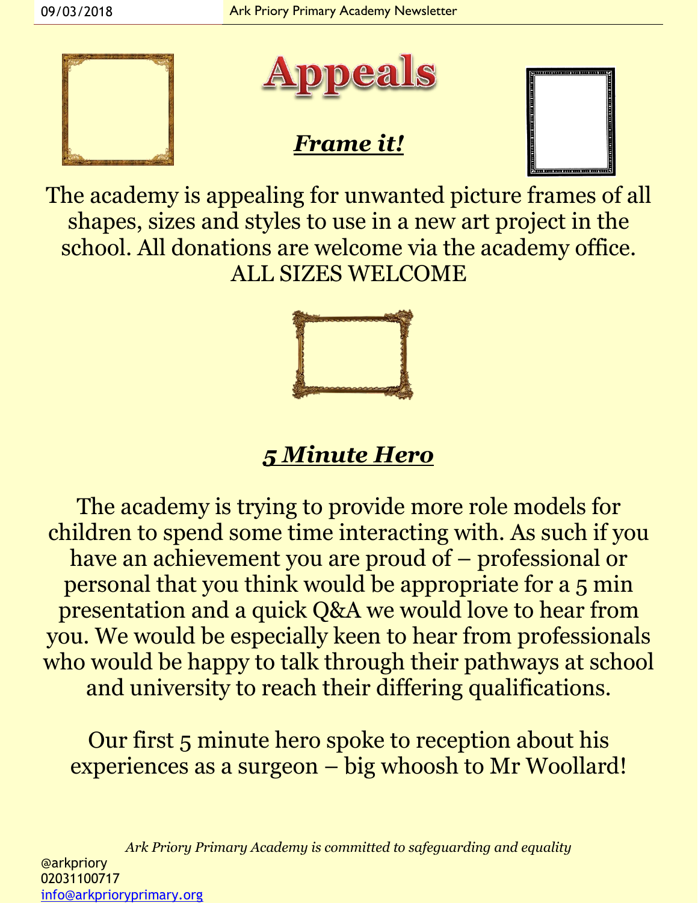



### *Frame it!*



The academy is appealing for unwanted picture frames of all shapes, sizes and styles to use in a new art project in the school. All donations are welcome via the academy office. ALL SIZES WELCOME



## *5 Minute Hero*

The academy is trying to provide more role models for children to spend some time interacting with. As such if you have an achievement you are proud of – professional or personal that you think would be appropriate for a 5 min presentation and a quick Q&A we would love to hear from you. We would be especially keen to hear from professionals who would be happy to talk through their pathways at school and university to reach their differing qualifications.

Our first 5 minute hero spoke to reception about his experiences as a surgeon – big whoosh to Mr Woollard!